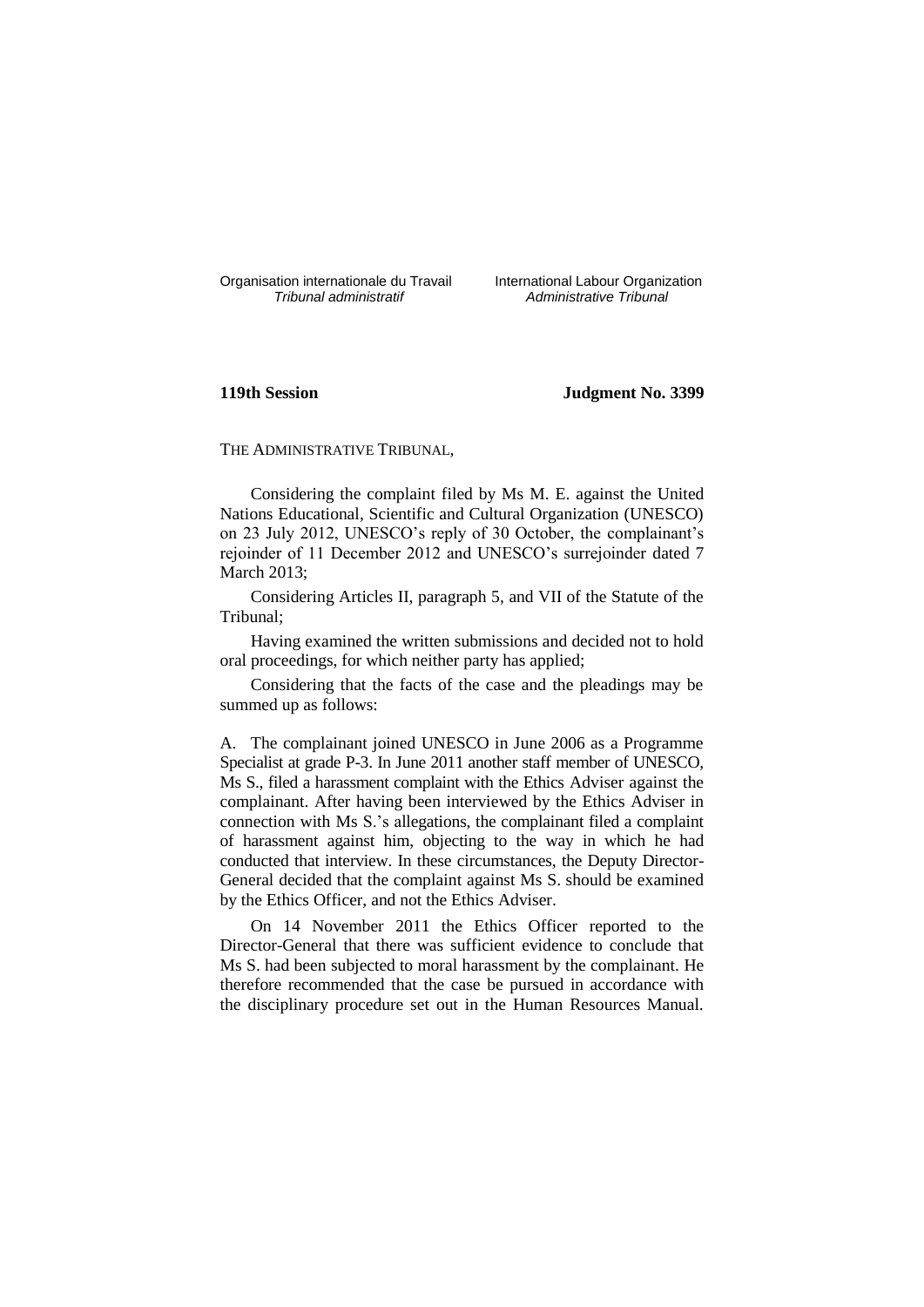Organisation internationale du Travail liternational Labour Organization<br> *Tribunal administratif Administrative Tribunal* 

*Tribunal administratif Administrative Tribunal*

# **119th Session Judgment No. 3399**

THE ADMINISTRATIVE TRIBUNAL,

Considering the complaint filed by Ms M. E. against the United Nations Educational, Scientific and Cultural Organization (UNESCO) on 23 July 2012, UNESCO's reply of 30 October, the complainant's rejoinder of 11 December 2012 and UNESCO's surrejoinder dated 7 March 2013;

Considering Articles II, paragraph 5, and VII of the Statute of the Tribunal;

Having examined the written submissions and decided not to hold oral proceedings, for which neither party has applied;

Considering that the facts of the case and the pleadings may be summed up as follows:

A. The complainant joined UNESCO in June 2006 as a Programme Specialist at grade P-3. In June 2011 another staff member of UNESCO, Ms S., filed a harassment complaint with the Ethics Adviser against the complainant. After having been interviewed by the Ethics Adviser in connection with Ms S.'s allegations, the complainant filed a complaint of harassment against him, objecting to the way in which he had conducted that interview. In these circumstances, the Deputy Director-General decided that the complaint against Ms S. should be examined by the Ethics Officer, and not the Ethics Adviser.

On 14 November 2011 the Ethics Officer reported to the Director-General that there was sufficient evidence to conclude that Ms S. had been subjected to moral harassment by the complainant. He therefore recommended that the case be pursued in accordance with the disciplinary procedure set out in the Human Resources Manual.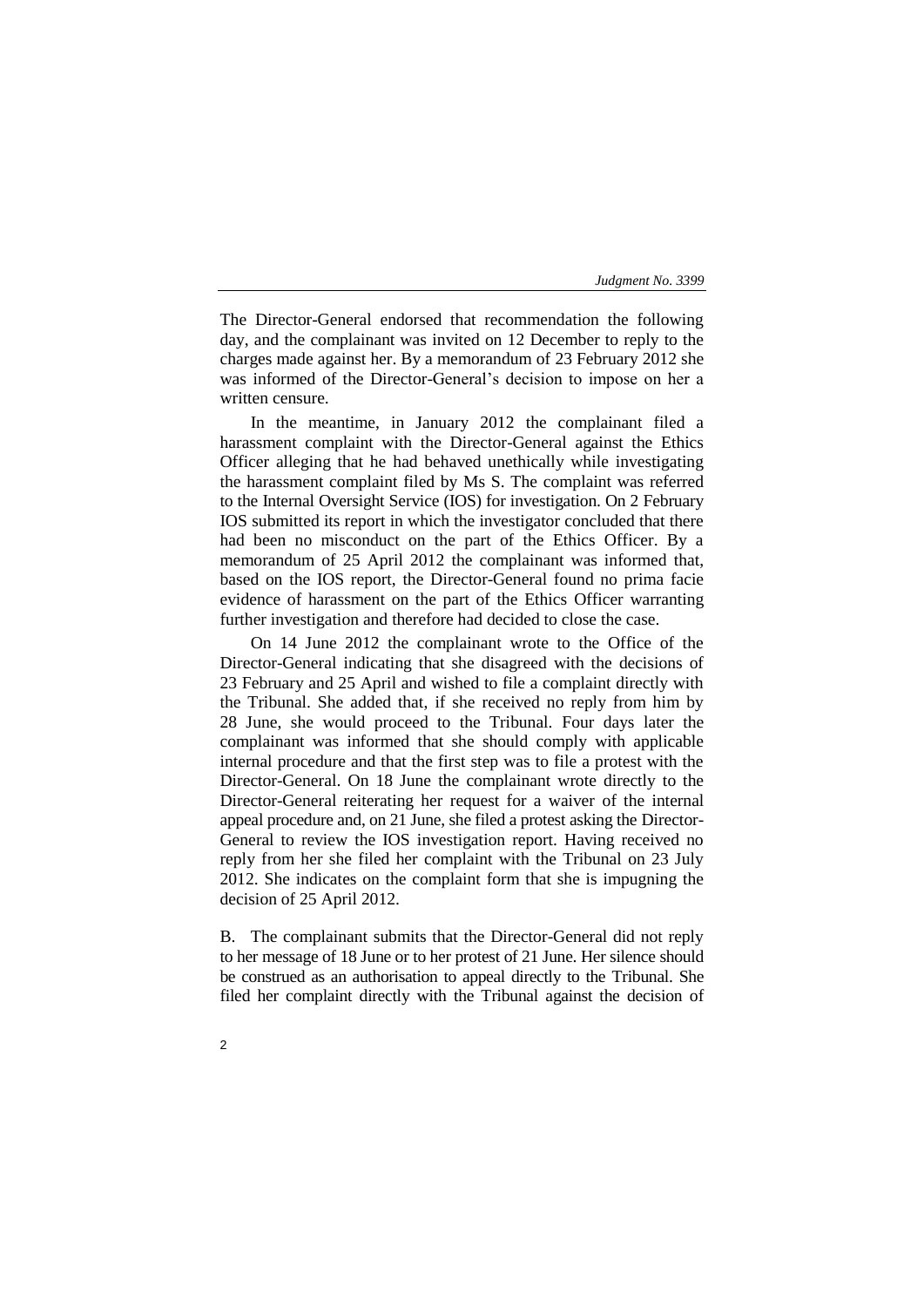The Director-General endorsed that recommendation the following day, and the complainant was invited on 12 December to reply to the charges made against her. By a memorandum of 23 February 2012 she was informed of the Director-General's decision to impose on her a written censure.

In the meantime, in January 2012 the complainant filed a harassment complaint with the Director-General against the Ethics Officer alleging that he had behaved unethically while investigating the harassment complaint filed by Ms S. The complaint was referred to the Internal Oversight Service (IOS) for investigation. On 2 February IOS submitted its report in which the investigator concluded that there had been no misconduct on the part of the Ethics Officer. By a memorandum of 25 April 2012 the complainant was informed that, based on the IOS report, the Director-General found no prima facie evidence of harassment on the part of the Ethics Officer warranting further investigation and therefore had decided to close the case.

On 14 June 2012 the complainant wrote to the Office of the Director-General indicating that she disagreed with the decisions of 23 February and 25 April and wished to file a complaint directly with the Tribunal. She added that, if she received no reply from him by 28 June, she would proceed to the Tribunal. Four days later the complainant was informed that she should comply with applicable internal procedure and that the first step was to file a protest with the Director-General. On 18 June the complainant wrote directly to the Director-General reiterating her request for a waiver of the internal appeal procedure and, on 21 June, she filed a protest asking the Director-General to review the IOS investigation report. Having received no reply from her she filed her complaint with the Tribunal on 23 July 2012. She indicates on the complaint form that she is impugning the decision of 25 April 2012.

B. The complainant submits that the Director-General did not reply to her message of 18 June or to her protest of 21 June. Her silence should be construed as an authorisation to appeal directly to the Tribunal. She filed her complaint directly with the Tribunal against the decision of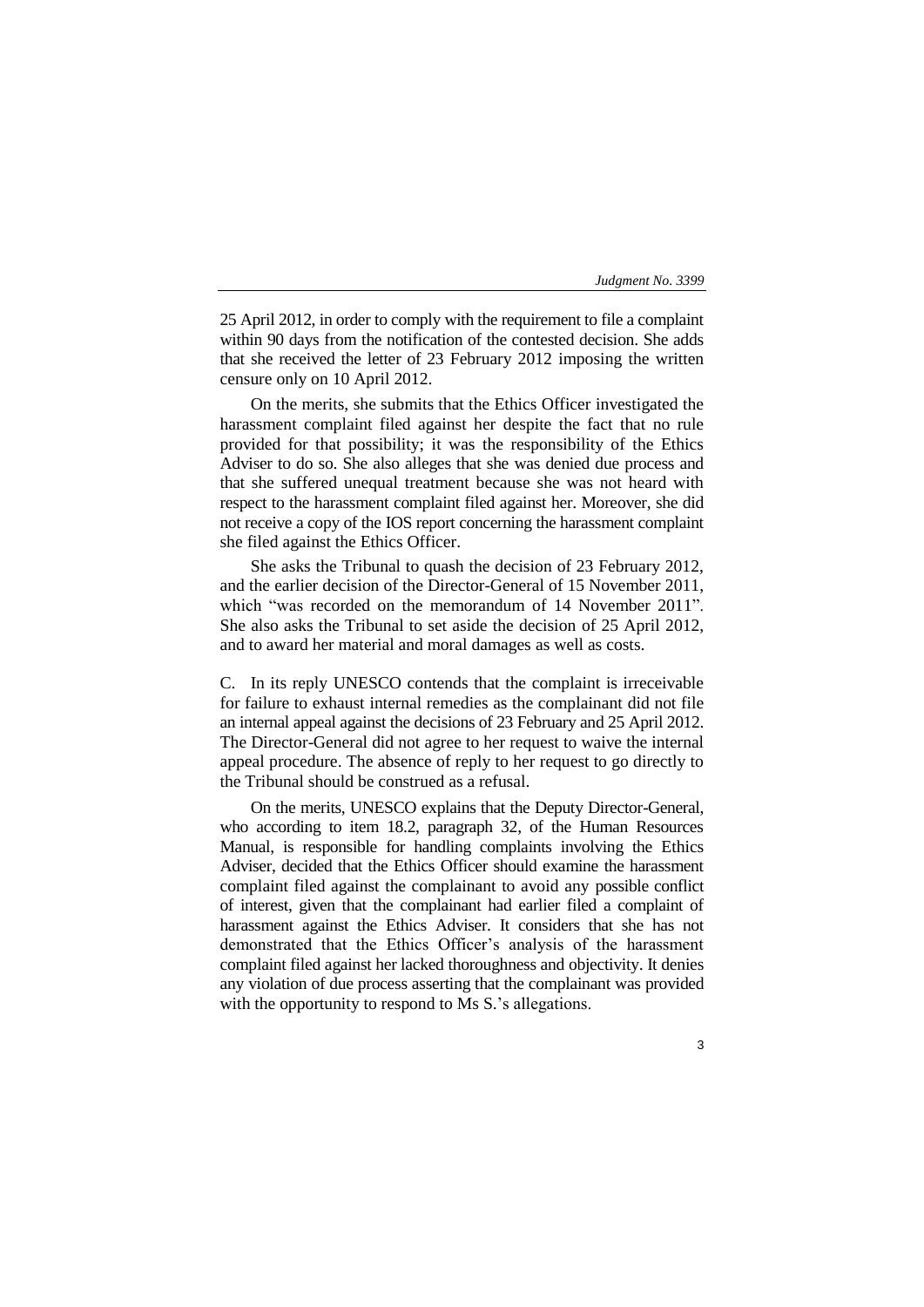25 April 2012, in order to comply with the requirement to file a complaint within 90 days from the notification of the contested decision. She adds that she received the letter of 23 February 2012 imposing the written censure only on 10 April 2012.

On the merits, she submits that the Ethics Officer investigated the harassment complaint filed against her despite the fact that no rule provided for that possibility; it was the responsibility of the Ethics Adviser to do so. She also alleges that she was denied due process and that she suffered unequal treatment because she was not heard with respect to the harassment complaint filed against her. Moreover, she did not receive a copy of the IOS report concerning the harassment complaint she filed against the Ethics Officer.

She asks the Tribunal to quash the decision of 23 February 2012, and the earlier decision of the Director-General of 15 November 2011, which "was recorded on the memorandum of 14 November 2011". She also asks the Tribunal to set aside the decision of 25 April 2012, and to award her material and moral damages as well as costs.

C. In its reply UNESCO contends that the complaint is irreceivable for failure to exhaust internal remedies as the complainant did not file an internal appeal against the decisions of 23 February and 25 April 2012. The Director-General did not agree to her request to waive the internal appeal procedure. The absence of reply to her request to go directly to the Tribunal should be construed as a refusal.

On the merits, UNESCO explains that the Deputy Director-General, who according to item 18.2, paragraph 32, of the Human Resources Manual, is responsible for handling complaints involving the Ethics Adviser, decided that the Ethics Officer should examine the harassment complaint filed against the complainant to avoid any possible conflict of interest, given that the complainant had earlier filed a complaint of harassment against the Ethics Adviser. It considers that she has not demonstrated that the Ethics Officer's analysis of the harassment complaint filed against her lacked thoroughness and objectivity. It denies any violation of due process asserting that the complainant was provided with the opportunity to respond to Ms S.'s allegations.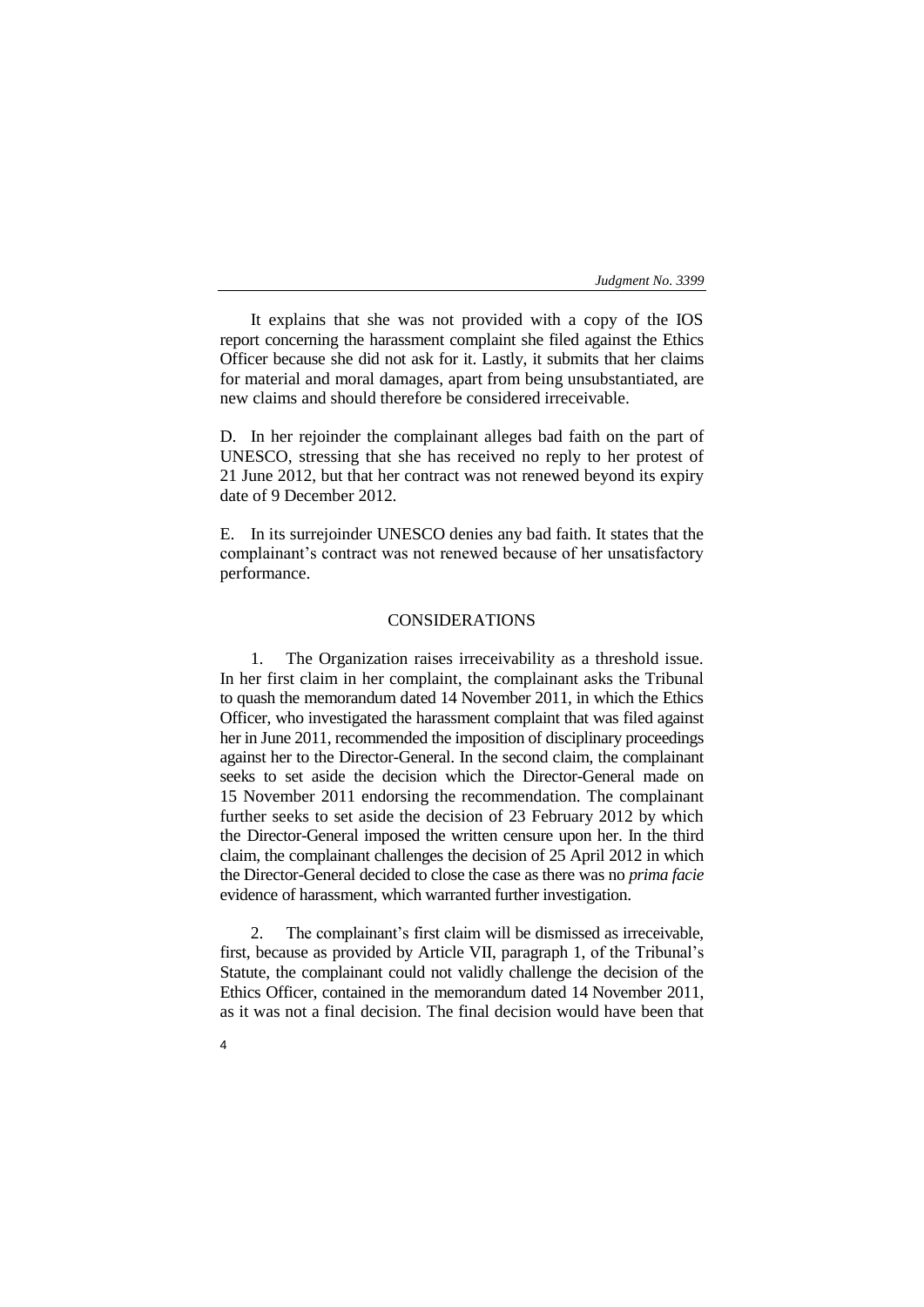It explains that she was not provided with a copy of the IOS report concerning the harassment complaint she filed against the Ethics Officer because she did not ask for it. Lastly, it submits that her claims for material and moral damages, apart from being unsubstantiated, are new claims and should therefore be considered irreceivable.

D. In her rejoinder the complainant alleges bad faith on the part of UNESCO, stressing that she has received no reply to her protest of 21 June 2012, but that her contract was not renewed beyond its expiry date of 9 December 2012.

E. In its surrejoinder UNESCO denies any bad faith. It states that the complainant's contract was not renewed because of her unsatisfactory performance.

# CONSIDERATIONS

1. The Organization raises irreceivability as a threshold issue. In her first claim in her complaint, the complainant asks the Tribunal to quash the memorandum dated 14 November 2011, in which the Ethics Officer, who investigated the harassment complaint that was filed against her in June 2011, recommended the imposition of disciplinary proceedings against her to the Director-General. In the second claim, the complainant seeks to set aside the decision which the Director-General made on 15 November 2011 endorsing the recommendation. The complainant further seeks to set aside the decision of 23 February 2012 by which the Director-General imposed the written censure upon her. In the third claim, the complainant challenges the decision of 25 April 2012 in which the Director-General decided to close the case as there was no *prima facie* evidence of harassment, which warranted further investigation.

2. The complainant's first claim will be dismissed as irreceivable, first, because as provided by Article VII, paragraph 1, of the Tribunal's Statute, the complainant could not validly challenge the decision of the Ethics Officer, contained in the memorandum dated 14 November 2011, as it was not a final decision. The final decision would have been that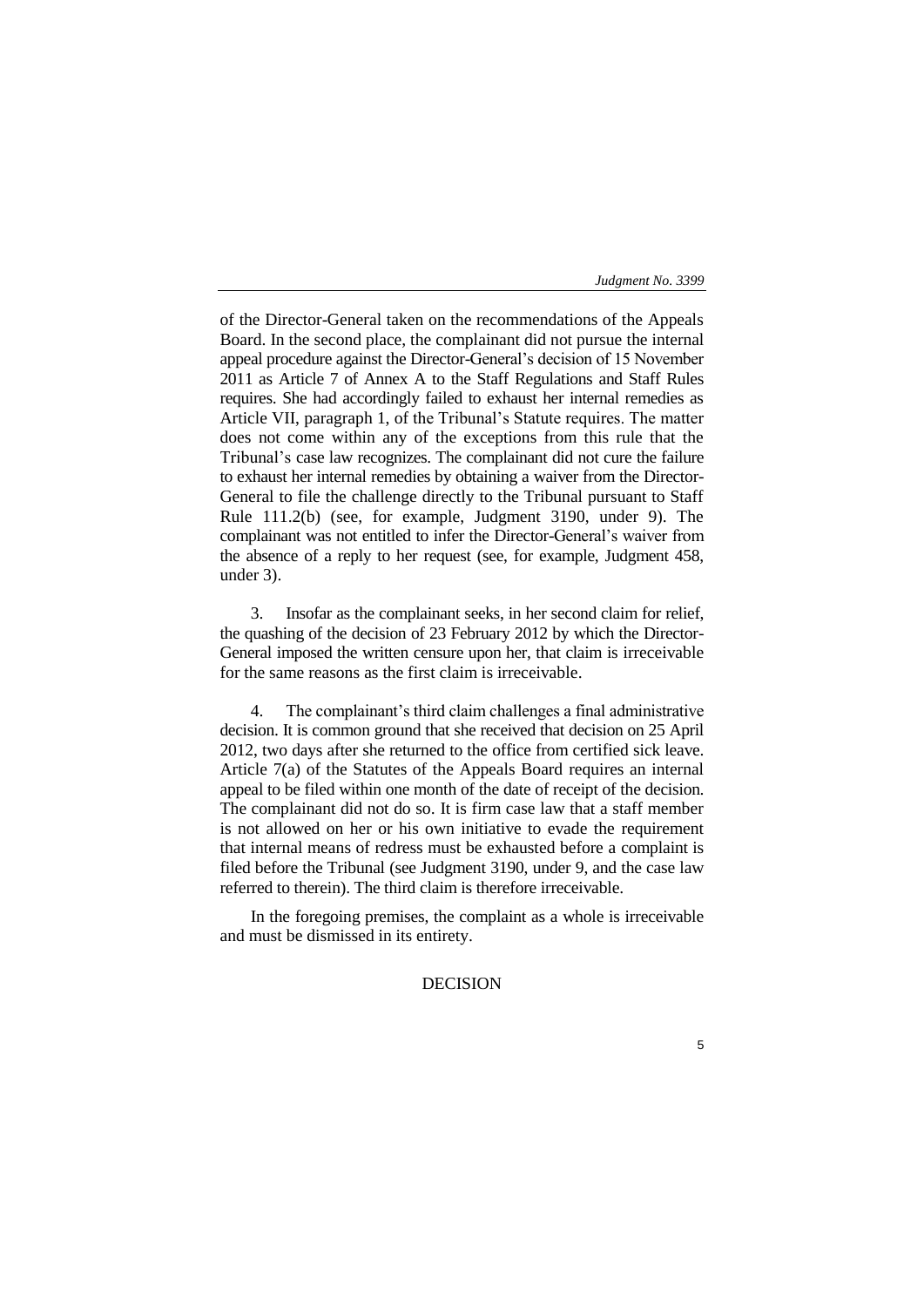of the Director-General taken on the recommendations of the Appeals Board. In the second place, the complainant did not pursue the internal appeal procedure against the Director-General's decision of 15 November 2011 as Article 7 of Annex A to the Staff Regulations and Staff Rules requires. She had accordingly failed to exhaust her internal remedies as Article VII, paragraph 1, of the Tribunal's Statute requires. The matter does not come within any of the exceptions from this rule that the Tribunal's case law recognizes. The complainant did not cure the failure to exhaust her internal remedies by obtaining a waiver from the Director-General to file the challenge directly to the Tribunal pursuant to Staff Rule 111.2(b) (see, for example, Judgment 3190, under 9). The complainant was not entitled to infer the Director-General's waiver from the absence of a reply to her request (see, for example, Judgment 458, under 3).

3. Insofar as the complainant seeks, in her second claim for relief, the quashing of the decision of 23 February 2012 by which the Director-General imposed the written censure upon her, that claim is irreceivable for the same reasons as the first claim is irreceivable.

4. The complainant's third claim challenges a final administrative decision. It is common ground that she received that decision on 25 April 2012, two days after she returned to the office from certified sick leave. Article 7(a) of the Statutes of the Appeals Board requires an internal appeal to be filed within one month of the date of receipt of the decision. The complainant did not do so. It is firm case law that a staff member is not allowed on her or his own initiative to evade the requirement that internal means of redress must be exhausted before a complaint is filed before the Tribunal (see Judgment 3190, under 9, and the case law referred to therein). The third claim is therefore irreceivable.

In the foregoing premises, the complaint as a whole is irreceivable and must be dismissed in its entirety.

# DECISION